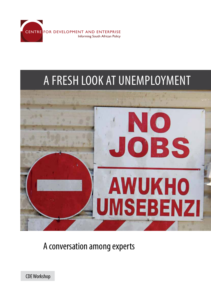

# A fresh look at unemployment



A conversation among experts

CDE Workshop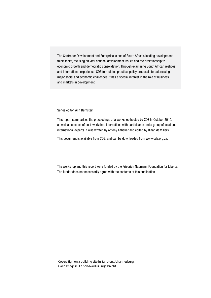The Centre for Development and Enterprise is one of South Africa's leading development think-tanks, focusing on vital national development issues and their relationship to economic growth and democratic consolidation. Through examining South African realities and international experience, CDE formulates practical policy proposals for addressing major social and economic challenges. It has a special interest in the role of business and markets in development.

#### Series editor: Ann Bernstein

This report summarises the proceedings of a workshop hosted by CDE in October 2010, as well as a series of post-workshop interactions with participants and a group of local and international experts. It was written by Antony Altbeker and edited by Riaan de Villiers.

This document is available from CDE, and can be downloaded from www.cde.org.za.

The workshop and this report were funded by the Friedrich Naumann Foundation for Liberty. The funder does not necessarily agree with the contents of this publication.

Cover: Sign on a building site in Sandton, Johannesburg. Gallo Images/ Die Son/Nardus Engelbrecht.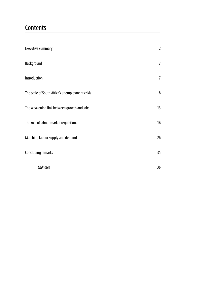## **Contents**

| <b>Executive summary</b>                        | $\overline{2}$ |
|-------------------------------------------------|----------------|
| Background                                      | $\overline{7}$ |
| Introduction                                    | 7              |
| The scale of South Africa's unemployment crisis | 8              |
| The weakening link between growth and jobs      | 13             |
| The role of labour market regulations           | 16             |
| Matching labour supply and demand               | 26             |
| <b>Concluding remarks</b>                       | 35             |
| <b>Endnotes</b>                                 | 36             |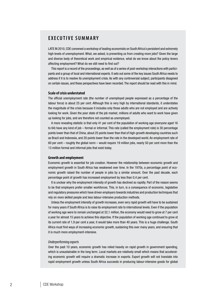### **E x ecutiv e summary**

Late in 2010, CDE convened a workshop of leading economists on South Africa's persistent and extremely high levels of unemployment. What, we asked, is preventing us from creating more jobs? Given the large and diverse body of theoretical work and empirical evidence, what do we know about the policy levers affecting employment? What do we still need to find out?

This report is a record of the proceedings, as well as of a series of post-workshop interactions with participants and a group of local and international experts. It sets out some of the key issues South Africa needs to address if it is to resolve its unemployment crisis. As with any controversial subject, participants disagreed on certain issues, and these perspectives have been recorded. The report should be read with this in mind.

#### **Scale of crisis understated**

The official unemployment rate (the number of unemployed people expressed as a percentage of the labour force) is about 25 per cent. Although this is very high by international standards, it understates the magnitude of the crisis because it includes only those adults who are not employed and are actively looking for work. Given the poor state of the job market, millions of adults who want to work have given up looking for jobs, and are therefore not counted as unemployed.

A more revealing statistic is that only 41 per cent of the population of working age (everyone aged 16 to 64) have any kind of job – formal or informal. This rate (called the employment rate) is 30 percentage points lower than that of China, about 25 points lower than that of high-growth developing countries such as Brazil and Indonesia, and 20 points lower than the rate in the developed world. An employment rate of 60 per cent – roughly the global norm – would require 19 million jobs, nearly 50 per cent more than the 13 million formal and informal jobs that exist today.

#### **Growth and employment**

Economic growth is essential for job creation. However the relationship between economic growth and employment growth in South Africa has weakened over time. In the 1970s, a percentage point of economic growth raised the number of people in jobs by a similar amount. Over the past decade, each percentage point of growth has increased employment by less than 0,4 per cent.

It is unclear why the employment intensity of growth has declined so rapidly. Part of the reason seems to be that employers prefer smaller workforces. This, in turn, is a consequence of economic, legislative and regulatory pressures which have driven employers towards industries and production techniques that rely on more skilled people and less labour-intensive production methods.

Unless the employment intensity of growth increases, even very rapid growth will have to be sustained for many years if South Africa is to raise its employment rate to international levels. Even if the population of working age were to remain unchanged at 32,1 million, the economy would need to grow at 7 per cent a year for almost 15 years to achieve this objective. If the population of working age continued to grow at its current rate of 1,9 per cent a year, it would take more than 40 years. This is a huge challenge. South Africa must find ways of increasing economic growth, sustaining this over many years, and ensuring that it is much more employment-intensive.

#### *Underperforming exports*

Over the past 10 years, economic growth has relied heavily on rapid growth in government spending, which is unsustainable in the long term. Local markets are relatively small which means that accelerating economic growth will require a dramatic increase in exports. Export growth will not translate into rapid employment growth unless South Africa succeeds in producing labour-intensive goods for global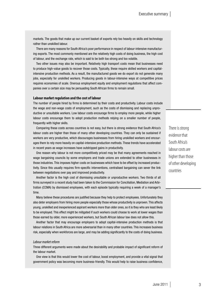markets. The goods that make up our current basket of exports rely too heavily on skills and technology rather than unskilled labour.

There are many reasons for South Africa's poor performance in respect of labour-intensive manufacturing exports. The most commonly mentioned are the relatively high costs of doing business, the high cost of labour, and the exchange rate, which is said to be both too strong and too volatile.

Two other issues may also be important. Relatively high transport costs mean that businesses need to produce high-value goods to recover those costs. Typically, these require skilled workers and capitalintensive production methods. As a result, the manufactured goods we do export do not generate many jobs, especially for unskilled workers. Producing goods in labour-intensive ways at competitive prices requires economies of scale. Onerous employment equity and employment regulations that affect companies over a certain size may be persuading South African firms to remain small.

#### **Labour market regulation and the cost of labour**

The number of people hired by firms is determined by their costs and productivity. Labour costs include the wage and non-wage costs of employment, such as the costs of dismissing and replacing unproductive or unsuitable workers. Low labour costs encourage firms to employ more people, while higher labour costs encourage them to adopt production methods relying on a smaller number of people, frequently with higher skills.

Comparing these costs across countries is not easy, but there is strong evidence that South Africa's labour costs are higher than those of many other developing countries. They can only be sustained if workers are very productive, which discourages businesses from hiring unskilled workers and encourages them to rely more heavily on capital-intensive production methods. These trends have accelerated in recent years as wage increases have outstripped gains in productivity.

One reason why labour is not more competitively priced may be that many agreements reached in wage bargaining councils by some employers and trade unions are extended to other businesses in those industries. This imposes higher costs on businesses which have to be offset by increased productivity. Since this usually requires firm-specific interventions, centralised bargaining can sever the link between negotiations over pay and improved productivity.

Another factor is the high cost of dismissing unsuitable or unproductive workers. Two thirds of all firms surveyed in a recent study had been taken to the Commission for Conciliation, Mediation and Arbitration (CCMA) by dismissed employees, with each episode typically requiring a week of a manager's time.

Many believe these procedures are justified because they help to protect employees. Unfortunately they also deter employers from hiring more people especially those whose productivity is unproven. This affects young, unskilled and inexperienced aspirant workers more than older ones, so it is they who are least likely to be employed. This effect might be mitigated if such workers could choose to work at lower wages than those earned by older, more experienced workers, but South African labour law does not allow this.

Another factor that may encourage employers to adopt capital-intensive production methods is that labour relations in South Africa are more adversarial than in many other countries. This increases business risk, especially when workforces are large, and may be adding significantly to the costs of doing business.

### *Labour market reform*

Three different arguments were made about the desirability and probable impact of significant reform of the labour market.

One view is that this would lower the cost of labour, boost employment, and provide a vital signal that government policy was becoming more business-friendly. This would help to raise business confidence,

There is strong evidence that South Africa's labour costs are higher than those of other developing countries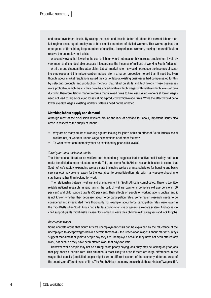and boost investment levels. By raising the costs and 'hassle factor' of labour, the current labour market regime encouraged employers to hire smaller numbers of skilled workers. This works against the emergence of firms hiring large numbers of unskilled, inexperienced workers, making it more difficult to resolve the unemployment crisis.

A second view is that lowering the cost of labour would not measurably increase employment levels by very much and is undesirable because it jeopardises the incomes of millions of working South Africans.

A third group disputes this latter claim. Labour market reforms would not reduce the incomes of existing employees and this misconception makes reform a harder proposition to sell than it need be. Even though labour market regulations raised the cost of labour, existing businesses had compensated for this by selecting products and production methods that relied on skills and technology. These businesses were profitable, which means they have balanced relatively high wages with relatively high levels of productivity. Therefore, labour market reforms that allowed firms to hire less skilled workers at lower wages need not lead to large-scale job losses at high-productivity/high-wage firms. While the effect would be to lower *average* wages, existing workers' salaries need not be affected.

#### **Matching labour supply and demand**

Although most of the discussion revolved around the lack of demand for labour, important issues also arose in respect of the supply of labour:

- Why are so many adults of working age not looking for jobs? Is this an effect of South Africa's social welfare net, of workers' undue wage expectations or of other factors?
- To what extent can unemployment be explained by poor skills levels?

#### *Social grants and the labour market*

The international literature on welfare and dependency suggests that effective social safety nets can make beneficiaries more reluctant to work. This, and some South African research, has led to claims that South Africa's rapidly expanding welfare state (including welfare grants, subsidies for housing and basic services etc) may be one reason for the low labour force participation rate, with many people choosing to stay home rather than looking for work.

The relationship between welfare and unemployment in South Africa is complicated. There is too little reliable national research. In rand terms, the bulk of welfare payments comprise old age pensions (60 per cent) and child support grants (35 per cent). Their effects on people of working age is unclear and it is not known whether they decrease labour force participation rates. Some recent research needs to be considered and investigated more thoroughly. For example labour force participation rates were lower in the mid-1990s when South Africa had a far less comprehensive or generous welfare system. And access to child support grants might make it easier for women to leave their children with caregivers and look for jobs.

#### *Reservation wages*

Some analysts argue that South Africa's unemployment crisis can be explained by the reluctance of the unemployed to accept wages below a certain threshold – the 'reservation wage'. Labour market surveys suggest that almost all jobless people say they are unemployed because they have not been offered any work, not because they have been offered work that pays too little.

However, while people may not be turning down poorly paying jobs, they may be looking only for jobs that pay above a certain rate. This situation is most likely to arise if there are large differences in the wages that equally (un)skilled people might earn in different sectors of the economy, different areas of the country, or different types of firm. The South African economy does exhibit these kinds of 'wage cliffs',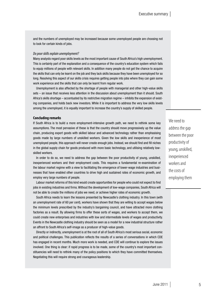and the numbers of unemployed may be increased because some unemployed people are choosing not to look for certain kinds of jobs.

#### *Do poor skills explain unemployment?*

Many analysts regard poor skills levels as the most important cause of South Africa's high unemployment. This is certainly part of the explanation and a consequence of the country's education system which fails to equip millions of people with relevant skills. In addition many people do not get the chance to acquire the skills that can only be learnt on the job and they lack skills because they have been unemployed for so long. Resolving this aspect of our skills crisis requires getting people into jobs where they can gain some work experience and the skills that can only be learnt from regular work.

Unemployment is also affected by the shortage of people with managerial and other high-value skills sets – an issue that receives less attention in the discussion about unemployment than it should. South Africa's skills shortage – accentuated by its restrictive migration regime – inhibits the expansion of existing companies, and holds back new investors. While it is important to address the very low skills levels among the unemployed, it is equally important to increase the country's supply of skilled people.

#### **Concluding remarks**

If South Africa is to build a more employment-intensive growth path, we need to rethink some key assumptions. The most pervasive of these is that the country should move progressively up the value chain, producing export goods with skilled labour and advanced technology rather than emphasising goods made by large numbers of unskilled workers. Given the low skills and inexperience of most unemployed people, this approach will never create enough jobs. Instead, we should find and fill niches in the global supply chain for goods produced with more basic technology, and utilising relatively lowskilled workers.

In order to do so, we need to address the gap between the poor productivity of young, unskilled, inexperienced workers and their employment costs. This requires a fundamental re-examination of the labour market regime with a view to facilitating the emergence of lower-wage industries and businesses that have enabled other countries to drive high and sustained rates of economic growth, and employ very large numbers of people.

Labour market reforms of this kind would create opportunities for people who could not expect to find jobs in existing industries and firms. Without the development of low-wage companies, South Africa will not be able to create the millions of jobs we need, or achieve higher rates of economic growth.

South Africa needs to learn the lessons presented by Newcastle's clothing industry. In this town (with an unemployment rate of 60 per cent), workers have shown that they are willing to accept wages below the minimum levels prescribed by the industry's bargaining council, and have attracted more clothing factories as a result. By allowing firms to offer these sorts of wages, and workers to accept them, we could create new enterprises and industries with low and intermediate levels of wages and productivity. Events in the Newcastle clothing industry should be seen as a model for a new industrial structure rather an affront to South Africa's self-image as a producer of high-value goods.

Directly or indirectly, unemployment is at the root of all of South Africa's most serious social, economic and political challenges. This publication reflects the results of a series of conversations in which CDE has engaged in recent months. Much more work is needed, and CDE will continue to explore the issues involved. One thing is clear: if rapid progress is to be made, some of the country's most important constituencies will need to rethink many of the policy positions to which they have committed themselves. Negotiating this will require strong and courageous leadership.

We need to address the gap between the poor productivity of young, unskilled, inexperienced workers and the costs of employing them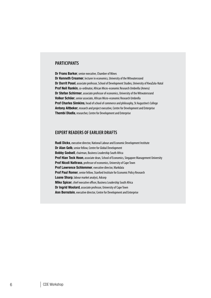### **Participants**

Dr Frans Barker, senior executive, Chamber of Mines Dr Kenneth Creamer, lecturer in economics, University of the Witwatersrand Dr Dorrit Posel, associate professor, School of Development Studies, University of KwaZulu-Natal Prof Neil Rankin, co-ordinator, African Micro-economic Research Umbrella (Ameru) Dr Stefan Schirmer, associate professor of economics, University of the Witwatersrand Volker Schöer, senior associate, African Micro-economic Research Umbrella Prof Charles Simkins, head of school of commerce and philosophy, St Augustine's College Antony Altbeker, research and project executive, Centre for Development and Enterprise Thembi Dladla, researcher, Centre for Development and Enterprise

### **Expert readers of earlier drafts**

Rudi Dicks, executive director, National Labour and Economic Development Institute Dr Alan Gelb, senior fellow, Centre for Global Development Bobby Godsell, chairman, Business Leadership South Africa **Prof Hian Teck Hoon**, associate dean, School of Economics, Singapore Management University Prof Nicoli Nattrass, professor of economics, University of Cape Town Prof Lawrence Schlemmer, executive director, Markdata Prof Paul Romer, senior fellow, Stanford Institute for Economic Policy Research Loane Sharp, labour market analyst, Adcorp Mike Spicer, chief executive officer, Business Leadership South Africa Dr Ingrid Woolard, associate professor, University of Cape Town Ann Bernstein, executive director, Centre for Development and Enterprise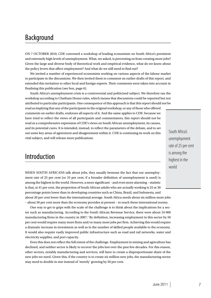## Background

On 7 October 2010, CDE convened a workshop of leading economists on South Africa's persistent and extremely high levels of unemployment. What, we asked, is preventing us from creating more jobs? Given the large and diverse body of theoretical work and empirical evidence, what do we know about the policy levers that affect employment? And what do we still need to find out?

We invited a number of experienced economists working on various aspects of the labour market to participate in the discussions. We then invited them to comment on earlier drafts of this report, and extended this invitation to other local and foreign experts. Their comments were taken into account in finalising this publication (see box, page 6).

South Africa's unemployment crisis is a controversial and politicised subject. We therefore ran the workshop according to Chatham House rules, which means that discussions could be reported but not attributed to particular participants. One consequence of this approach is that this report should not be read as implying that any of the participants in the original workshop, or any of those who offered

comments on earlier drafts, endorses all aspects of it. And the same applies to CDE: because we have tried to reflect the views of all participants and commentators, this report should not be read as a comprehensive expression of CDE's views on South African unemployment, its causes, and its potential cures. It is intended, instead, to reflect the parameters of the debate, and to set out some key areas of agreement and disagreement within it. CDE is continuing its work on this vital subject, and will release more publications.

South Africa's unemployment rate of 25 per cent is among the highest in the world

## Introduction

WHEN SOUTH AFRICANS talk about jobs, they usually bemoan the fact that our unemployment rate of 25 per cent (or 33 per cent, if a broader definition of unemployment is used) is among the highest in the world. However, a more significant – and even more alarming – statistic is that, at 41 per cent, the proportion of South African adults who are actually working is 25 or 30 percentage points lower than in developing countries such as China, Brazil, and Indonesia, and about 20 per cent lower than the international average. South Africa needs about six million more jobs – about 50 per cent more than the economy provides at present – to reach these international norms.

One way to get to grips with the scale of the challenge is to think about the implications for a sector such as manufacturing. According to the South African Revenue Service, there were about 34 000 manufacturing firms in the country in 2007.<sup>1</sup> By definition, increasing employment in this sector by 50 per cent would require many more firms and/or many more jobs per firm. Achieving this would require a dramatic increase in investment as well as in the number of skilled people available to the economy. It would also require vastly improved public infrastructure such as road and rail networks, water and electricity supplies, and port capacity.

Even this does not reflect the full extent of the challenge. Employment in mining and agriculture has declined, and neither sector is likely to recover the jobs lost over the past few decades. For this reason, other sectors, notably manufacturing and services, will have to create a disproportionate share of the new jobs we need. Given this, if the country is to create six million new jobs, the manufacturing sector may need to double in size instead of 'merely' growing by 50 per cent.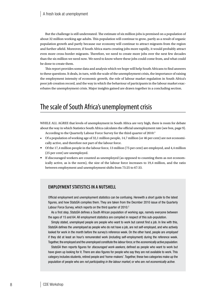But the challenge is still understated. The estimate of six million jobs is premised on a population of about 32 million working age adults. This population will continue to grow, partly as a result of organic population growth and partly because our economy will continue to attract migrants from the region and further afield. Moreover, if South Africa starts creating jobs more rapidly, it would probably attract even more cross-border migrants. Therefore, we need to create more jobs over the next few decades than the six million we need now. We need to know where these jobs could come from, and what could be done to create them.

This report provides some data and analysis which we hope will help South Africans to find answers to these questions. It deals, in turn, with the scale of the unemployment crisis, the importance of raising the employment intensity of economic growth, the role of labour market regulation in South Africa's poor job creation record, and the way in which the behaviour of participants in the labour market exacerbates the unemployment crisis. Major insights gained are drawn together in a concluding section.

## The scale of South Africa's unemployment crisis

WHILE ALL AGREE that levels of unemployment in South Africa are very high, there is room for debate about the way in which Statistics South Africa calculates the official unemployment rate (see box, page 9).

- According to the Quarterly Labour Force Survey for the third quarter of 2010:3
- Of a population of working age of  $32,1$  million people,  $14,7$  million (or  $46$  per cent) are not economically active, and therefore not part of the labour force.
- Of the 17,4 million people in the labour force, 13 million (75 per cent) are employed, and 4,4 million (25 per cent) are unemployed.
- If discouraged workers are counted as unemployed (as opposed to counting them as not economically active, as is the norm), the size of the labour force increases to 19,4 million, and the ratio between employment and unemployment shifts from 75:25 to 67:33.

### **EMPLOYMENT STATISTICS IN A NUTSHELL**

Official employment and unemployment statistics can be confusing. Herewith a short guide to the latest figures, and how StatsSA compiles them. They are taken from the Decmber 2010 issue of the Quarterly Labour Force Survey, which reports on the third quarter of 2010.<sup>2</sup>

As a first step, StatsSA defines a South African population of working age, namely everyone between the ages of 15 and 64. All employment statistics are compiled in respect of this sub-population.

Simply stated, unemployed people are people who want to work but cannot find a job. In line with this, StatsSA defines the *unemployed* as people who do not have a job, are not self-employed, and who actively looked for work in the month before the survey's reference week. On the other hand, people are *employed* if they did at least an hour's remunerated work (including self-employment) during the reference week. Together, the employed and the unemployed constitute the *labour force*, or the *economically active population*.

StatsSA then reports figures for *discouraged work-seekers*, defined as people who want to work but have given up looking for it. There are also figures for people who say they are not available to work. This category includes students, retired people and 'home-makers'. Together, these two categories make up the population of people who are *not participating in the labour market*, or who are *not economically active*.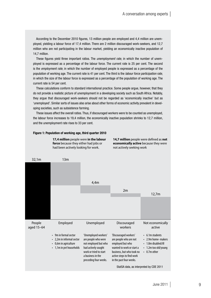According to the December 2010 figures, 13 million people are employed and 4,4 million are unemployed, yielding a labour force of 17,4 million. There are 2 million discouraged work-seekers, and 12,7 million who are not participating in the labour market, yielding an economically inactive population of 14,7 million.

These figures yield three important ratios. The *unemployment rate*, in which the number of unemployed is expressed as a percentage of the labour force. The current rate is 25 per cent. The second is the *employment rate*, in which the number of employed people is expressed as a percentage of the population of working age. The current rate is 41 per cent. The third is the *labour force participation rate*, in which the size of the labour force is expressed as a percentage of the population of working age. The current rate is 54 per cent.

These calculations conform to standard international practice. Some people argue, however, that they do not provide a realistic picture of unemployment in a developing society such as South Africa. Notably, they argue that discouraged work-seekers should not be regarded as 'economically inactive' but as 'unemployed'. Similar sorts of issues also arise about other forms of economic activity prevalent in developing societies, such as subsistence farming.

These issues affect the overall ratios. Thus, if discouraged workers were to be counted as unemployed, the labour force increases to 19,4 million, the economically inactive population shrinks to 12,7 million, and the unemployment rate rises to 33 per cent.

#### Figure 1: Population of working age, third quarter 2010



**14,7 million** people were defined as **not economically active** because they were not actively seeking work

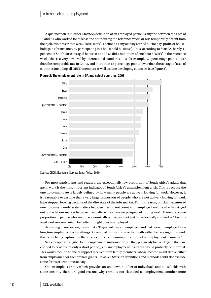A qualification is in order. StatsSA's definition of an employed person is anyone between the ages of 15 and 64 who worked for at least one hour during the reference week, or was temporarily absent from their job/business in that week. Here 'work' is defined as any activity carried out for pay, profit, or household gain (for instance, by participating in a household business). Thus, according to StatsSA, barely 41 per cent of South Africans aged between 15 and 64 did a minimum of one hour's 'work' in the reference week. This is a very low level by international standards. It is, for example, 30 percentage points lower than the comparable rate in China, and more than 15 percentage points lower than the average of a set of countries including all OECD members as well as nine developing countries (see figure 2).





For most participants and readers, the exceptionally low proportion of South Africa's adults that are in work is the most important indicator of South Africa's unemployment crisis. This is because the unemployment rate is largely defined by how many people are actively looking for work. However, it is reasonable to assume that a very large proportion of people who are not actively looking for work have stopped looking because of the dire state of the jobs market. For this reason, official measures of unemployment understate matters because they do not count as unemployed anyone who has stayed out of the labour market because they believe they have no prospect of finding work. Therefore, some proportion of people who are not economically active, and not just those formally counted as 'discouraged work-seekers', might be better thought of as unemployed.

According to one expert, to say that a 30-year-old was unemployed and had been unemployed for a long time implied one of two things. 'Given that he hasn't starved to death, either he is doing some work that is not being captured in the surveys, or he is obtaining some form of unemployment insurance.'

Since people are eligible for unemployment insurance only if they previously had a job (and then are entitled to benefits for only a short period), any unemployment insurance would probably be informal. This would include financial support received from family members, whose income might derive either from employment or from welfare grants. However, StatsSA's definitions and methods could also exclude some forms of economic activity.

One example is crime, which provides an unknown number of individuals and households with some income. There are good reasons why crime is not classified as employment. Another more

Source: OECD, Economic Survey: South Africa, 2010.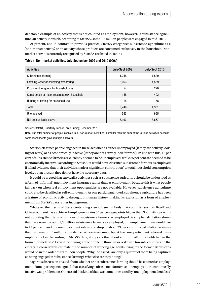debatable example of an activity that is not counted as employment, however, is subsistence agriculture, an activity in which, according to StatsSA, some 1,5 million people were engaged in mid-2010.

At present, and in contrast to previous practice, StatsSA categorises subsistence agriculture as a 'non-market activity', or an activity whose products are consumed exclusively in the household. Nonmarket activities currently recognised by StatsSA are listed in Table 1.

Table 1: Non-market activities, July-September 2009 and 2010 (000s)

| <b>Activities</b>                              | July-Sept 2009 | July-Sept 2010 |
|------------------------------------------------|----------------|----------------|
| Subsistence farming                            | 1,248          | 1,529          |
| Fetching water or collecting wood/dung         | 3,063          | 4,539          |
| Produce other goods for household use          | 54             | 220            |
| Construction or major repairs at own household | 148            | 402            |
| Hunting or fishing for household use           | 18             | 78             |
| Total                                          | 3.746          | 4.331          |
| Unemployed                                     | 553            | 665            |
| Not economically active                        | 3,193          | 3,667          |

Source: StatsSA, Quarterly Labour Force Survey, December 2010.

Note: The total number of people involved in all non-market activities is smaller than the sum of the various activities because some respondents gave multiple answers.

StatsSA classifies people engaged in these activities as either unemployed (if they are actively looking for work) or as economically inactive (if they are not actively look for work). In line with this, 15 per cent of subsistence farmers are currently deemed to be unemployed, while 85 per cent are deemed to be economically inactive. According to StatsSA, it would have classified subsistence farmers as employed if it had evidence that their activities made a 'significant contribution' to total household consumption levels, but at present they do not have the necessary data.

It could be argued that survivalist activities such as subsistence agriculture should be understood as a form of (informal) unemployment insurance rather than as employment, because this is what people fall back on when real employment opportunities are not available. However, subsistence agriculture could also be classified as self-employment. As one participant noted, subsistence agriculture has been a feature of economic activity throughout human history, making its exclusion as a form of employment from StatSA's data rather incongruous.

Whatever the merits of these contending views, it seems likely that countries such as Brazil and China could not have achieved employment rates 30 percentage points higher than South Africa's without counting their tens of millions of subsistence farmers as employed. A simple calculation shows that if we were to count 1,5 million subsistence farmers as employed, our employment rate would rise to 45 per cent, and the unemployment rate would drop to about 23 per cent. This calculation assumes that the figure of 1,5 million subsistence farmers is accurate, but at least one participant believed it was implausibly low. According to StatsSA data, it appears that about a third of all households live in the former 'homelands'.<sup>4</sup> Even if the demographic profile in those areas is skewed towards children and the elderly, a conservative estimate of the number of working age adults living in the former Bantustans would be in the order of six million people. 'Why,' he asked, 'are only a quarter of them being captured as being engaged in subsistence farming? What else are they doing?'

Vigorous discussion ensued about whether or not subsistence farming should be counted as employment. Some participants agreed that classifying subsistence farmers as unemployed or economically inactive was problematic. Others said this kind of data was sometimes cited by 'unemployment denialists'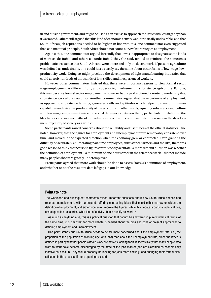in and outside government, and might be used as an excuse to approach the issue with less urgency than it warranted. Others still argued that this kind of economic activity was intrinsically undesirable, and that South Africa's job aspirations needed to be higher. In line with this, one commentator even suggested that, as a matter of principle, South Africa should not count 'survivalist' strategies as employment.

Against this, one commentator argued forcefully that it was inappropriate to designate some kinds of work as 'desirable' and others as 'undesirable'. This, she said, tended to reinforce the sometimes problematic insistence that South Africans were interested only in 'decent work'. If peasant agriculture was defined as undesirable, one could just as easily say the same about other forms of low-wage, lowproductivity work. Doing so might preclude the development of light manufacturing industries that could absorb hundreds of thousands of low-skilled and inexperienced workers.

However, other commentators insisted that there were important reasons to view formal sector wage employment as different from, and superior to, involvement in subsistence agriculture. For one, this was because formal sector employment – however badly paid – offered a route to modernity that subsistence agriculture could not. Another commentator argued that the experience of employment, as opposed to subsistence farming, generated skills and aptitudes which helped to transform human capabilities and raise the productivity of the economy. In other words, equating subsistence agriculture with low-wage employment missed the vital differences between them, particularly in relation to the life chances and income paths of individuals involved, with commensurate differences in the development trajectory of society as a whole.

Some participants raised concerns about the reliability and usefulness of the official statistics. One noted, however, that the figures for employment and unemployment were remarkably consistent over time, and moved in the expected direction when the economy grew or contracted. Even granting the difficulty of accurately enumerating part-time employees, subsistence farmers and the like, there was good reason to think that StatsSA's figures were broadly accurate. A more difficult question was whether the definition of employment – a minimum of one hour's work in the reference week – did not include many people who were grossly underemployed.

Participants agreed that more work should be done to assess StatsSA's definitions of employment, and whether or not the resultant data left gaps in our knowledge.

#### **Points to note**

The workshop and subsequent comments raised important questions about how South Africa defines and records unemployment, with participants offering contrasting ideas that could either narrow or widen the definition of employment, and either worsen or improve the figures. While this debate is partly a technical one, a vital question does arise: what kind of activity should qualify as 'work'?

As much as anything else, this is a political question that cannot be answered in purely technical terms. At the same time, it is clear that far more debate is needed about the pros and cons of present approaches to defining employment and unemployment.

One point stands out. South Africa needs to be far more concerned about the employment rate (i.e., the proportion of the population of working age with jobs) than about the unemployment rate, since the latter is defined in part by whether people without work are actively looking for it. It seems likely that many people who want to work have become discouraged by the state of the jobs market (and are classified as economically inactive as a result). They would probably be looking for jobs more actively (and changing their formal classification in the process) if more openings existed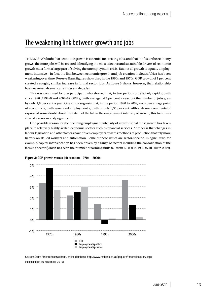## The weakening link between growth and jobs

There is no doubt that economic growth is essential for creating jobs, and that the faster the economy grows, the more jobs will be created. Identifying the most effective and sustainable drivers of economic growth must form a large part of solving the unemployment crisis. But not all growth is equally employment-intensive – in fact, the link between economic growth and job creation in South Africa has been weakening over time. Reserve Bank figures show that, in the 1960s and 1970s, GDP growth of 1 per cent created a roughly similar increase in formal sector jobs. As figure 3 shows, however, that relationship has weakened dramatically in recent decades.

This was confirmed by one participant who showed that, in two periods of relatively rapid growth since 1990 (1994–6 and 2004–8), GDP growth averaged 4,4 per cent a year, but the number of jobs grew by only 1,8 per cent a year. One study suggests that, in the period 1990 to 2009, each percentage point of economic growth generated employment growth of only 0,35 per cent. Although one commentator expressed some doubt about the extent of the fall in the employment intensity of growth, this trend was viewed as enormously significant.

One possible reason for the declining employment intensity of growth is that most growth has taken place in relatively highly skilled economic sectors such as financial services. Another is that changes in labour legislation and other factors have driven employers towards methods of production that rely more heavily on skilled workers and automation. Some of these issues are sector-specific. In agriculture, for example, capital intensification has been driven by a range of factors including the consolidation of the farming sector (which has seen the number of farming units fall from 60 000 in 1996 to 40 000 in 2009),



Figure 3: GDP growth versus job creation, 1970s—2000s

Source: South African Reserve Bank, online database, http://www.resbank.co.za/qbquery/timeseriesquery.aspx (accessed on 16 November 2010).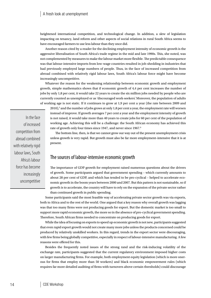heightened international competition, and technological change. In addition, a slew of legislation impacting on tenancy, land reform and other aspects of social relations in rural South Africa seems to have encouraged farmers to use less labour than they once did.

Another reason cited by a reader for the declining employment intensity of economic growth is the aggressive liberalisation of South Africa's trade regime in the mid and late 1990s. This, she noted, was not complemented by measures to make the labour market more flexible. The predictable consequence was that labour-intensive imports from low-wage countries resulted in job-shedding in industries that had previously employed large numbers of people. Thus, in the face of increased competition from abroad combined with relatively rigid labour laws, South Africa's labour force might have become increasingly uncompetitive.

Whatever the reason for the weakening relationship between economic growth and employment growth, simple mathematics shows that if economic growth of 4,4 per cent increases the number of jobs by only 1,8 per cent, it would take 22 years to create the six million jobs needed by people who are currently counted as unemployed or as 'discouraged work-seekers'. Moreover, the population of adults of working age is not static. If it continues to grow at 1,9 per cent a year (the rate between 2009 and

2010),<sup>5</sup> and the number of jobs grows at only 1,8 per cent a year, the employment rate will worsen instead of improve. If growth averages 7 per cent a year and the employment intensity of growth is not raised, it would take more than 40 years to create jobs for 60 per cent of the population of working age. Achieving this will be a challenge: the South African economy has achieved this rate of growth only four times since 1947, and never since 1967.<sup>6</sup>

The bottom line, then, is that we cannot grow our way out of the present unemployment crisis unless growth is very rapid. But growth must also be far more employment–intensive that it is at present.

### The sources of labour-intensive economic growth

The importance of GDP growth for employment raised numerous questions about the drivers of growth. Some participants argued that government spending – which currently amounts to about 28 per cent of GDP, and which has tended to be pro-cyclical – helped to accelerate economic growth in the boom years between 2000 and 2007. But this pattern is not sustainable, so if growth is to accelerate, the country will have to rely on the expansion of the private sector rather than continued growth in public spending.

Some participants said the most feasible way of accelerating private sector growth was via exports, both to Africa and to the rest of the world. One argued that a key reason why overall growth was lagging was that too many firms were not producing goods for export. But the domestic market is too small to support more rapid economic growth, the more so in the absence of pro-cyclical government spending. Therefore, South African firms needed to concentrate on producing goods for export.

While the idea of focusing on exports to speed up economic growth is not new, participants suggested that even rapid export growth would not create many more jobs unless the products concerned could be produced by relatively unskilled workers. In this regard, trends in the export sector were discouraging, with few firms being globally competitive, especially in respect of labour-intensive manufacturing. A few reasons were offered for this.

Besides the frequently noted issues of the strong rand and the risk-inducing volatility of the exchange rate, participants suggested that the current regulatory environment imposed higher costs on larger manufacturing firms. For example, both employment equity legislation (which is more onerous for firms that employ more than 50 workers) and black economic empowerment rules (which requires far more detailed auditing of firms with turnovers above certain thresholds) could discourage

In the face of increased competition from abroad combined with relatively rigid labour laws, South Africa's labour force has become increasingly uncompetitive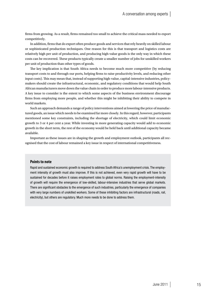firms from growing. As a result, firms remained too small to achieve the critical mass needed to export competitively.

In addition, firms that do export often produce goods and services that rely heavily on skilled labour or sophisticated production techniques. One reason for this is that transport and logistics costs are relatively high per unit of production, and producing high-value goods is the only way in which these costs can be recovered. These products typically create a smaller number of jobs for unskilled workers per unit of production than other types of goods.

The key implication is that South Africa needs to become much more competitive (by reducing transport costs to and through our ports, helping firms to raise productivity levels, and reducing other input costs). This may mean that, instead of supporting high-value, capital-intensive industries, policymakers should create the infrastructural, economic, and regulatory conditions that would help South African manufacturers move down the value chain in order to produce more labour-intensive products. A key issue to consider is the extent to which some aspects of the business environment discourage firms from employing more people, and whether this might be inhibiting their ability to compete in world markets.

Such an approach demands a range of policy interventions aimed at lowering the price of manufactured goods, an issue which needs to be examined far more closely. In this regard, however, participants mentioned some key constraints, including the shortage of electricity, which could limit economic growth to 3 or 4 per cent a year. While investing in more generating capacity would add to economic growth in the short term, the rest of the economy would be held back until additional capacity became available.

Important as these issues are in shaping the growth and employment outlook, participants all recognised that the cost of labour remained a key issue in respect of international competitiveness.

### **Points to note**

Rapid and sustained economic growth is required to address South Africa's unemployment crisis. The employment intensity of growth must also improve. If this is not achieved, even very rapid growth will have to be sustained for decades before it raises employment rates to global norms. Raising the employment-intensity of growth will require the emergence of low-skilled, labour-intensive industries that serve global markets. There are significant obstacles to the emergence of such industries, particularly the emergence of companies with very large numbers of unskilled workers. Some of these inhibiting factors are infrastructural (roads, rail, electricity), but others are regulatory. Much more needs to be done to address them.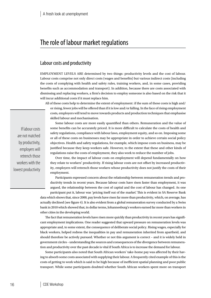## The role of labour market regulations

### Labour costs and productivity

Employment levels are determined by two things: productivity levels and the cost of labour. Labour costs comprise not only direct costs (wages and benefits) but various indirect costs (including the costs of complying with health and safety rules, training workers, and, in some cases, providing benefits such as accommodation and transport). In addition, because there are costs associated with dismissing and replacing workers, a firm's decision to employ someone is also based on the risk that it will incur additional costs if it must replace him.

All of these costs help to determine the extent of employment: if the sum of these costs is high and/ or rising, fewer jobs will be offered than if it is low and/or falling. In the face of rising employment costs, employers will tend to move towards products and production techniques that emphasise skilled labour and mechanisation.

If labour costs are not matched by productivity, employers will retrench those workers with the lowest productivity

Some labour costs are more easily quantified than others. Remuneration and the value of some benefits can be accurately priced. It is more difficult to calculate the costs of health and safety regulations, compliance with labour laws, employment equity, and so on. Imposing some or all of these costs on businesses may be appropriate in order to achieve certain social policy objectives. Health and safety regulations, for example, which impose costs on business, may be justified because they keep workers safe. However, to the extent that these and other kinds of regulations raise the costs of employment, they also work to reduce the number of jobs.

Over time, the impact of labour costs on employment will depend fundamentally on how they relate to workers' productivity. If rising labour costs are not offset by increased productivity, employers will retrench those workers whose productivity does not justify the costs of their employment.

Participants expressed concern about the relationship between remuneration trends and productivity trends in recent years. Because labour costs have risen faster than employment, it was argued, the relationship between the cost of capital and the cost of labour has changed. As one

participant put it, labour was 'pricing itself out of the market'. This is evident in SA Reserve Bank data which shows that, since 2000, pay levels have risen far more than productivity, which, on average, has actually declined (see figure 4). It is also evident from a global remuneration survey conducted by a Swiss bank in 2010 which showed that, in dollar terms, Johannesburg's workers earned far more than workers in other cities in the developing world.

The fact that remuneration levels have risen more quickly than productivity in recent years has significant employment implications. One reader suggested that upward pressure on remuneration levels was appropriate and, to some extent, the consequence of deliberate social policy. Rising wages, especially for black workers, helped redress the inequalities in pay and remuneration inherited from apartheid, and should therefore be actively pursued. Whether or not this argument is correct – and it is widely held in government circles – understanding the sources and consequences of the divergence between remuneration and productivity over the past decade is vital if South Africa is to increase the demand for labour.

Some participants also noted that South African workers' take-home pay was affected by their having to absorb some costs associated with supplying their labour. A frequently cited example of this is the costs of getting to work which is said to be high because of inefficient spatial planning and poor public transport. While some participants doubted whether South African workers spent more on transport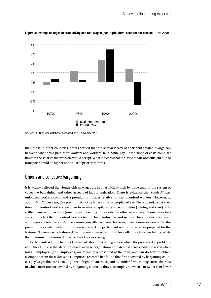

Figure 4: Average changes in productivity and real wages (non-agricultural sectors) per decade, 1970–2009

Source: SARB on-line database, accessed on 16 November 2010.

than those in other countries, others argued that the spatial legacy of apartheid created a large gap between what firms paid their workers and workers' take-home pay. These kinds of costs could set limits to the salaries that workers would accept. What is clear is that the issue of safe and efficient public transport should be higher on the list of priority reforms.

### Unions and collective bargaining

It is widely believed that South African wages are kept artificially high by trade unions, the system of collective bargaining, and other aspects of labour legislation. There is evidence that South Africa's unionised workers command a premium on wages relative to non-unionised workers. However, at about 10 to 20 per cent, this premium is not as large as many people believe. These premia exist even though unionised workers are often in relatively capital-intensive industries (mining and steel) or in skills-intensive professions (nursing and teaching). They exist, in other words, even if one takes into account the fact that unionised workers tend to be in industries and sectors where productivity levels and wages are relatively high. Even among unskilled workers, however, there is some evidence that the premium associated with unionisation is rising. One participant referred to a paper prepared for the National Treasury which showed that the union wage premium for skilled workers was falling, while the premium for unionised unskilled workers was rising.<sup>7</sup>

Participants referred to other features of labour market regulation which they regarded as problematic. One of these is that decisions made in wage negotiations are extended across industries even when not all employers (and employees) are formally represented at the talks, and can do little to obtain exemption from these decisions. Empirical research has found that firms covered by bargaining councils pay wages that are 10 to 21 per cent higher than those paid by similar firms in magisterial districts in which firms are not covered by bargaining councils. They also employ between 8 to 13 per cent fewer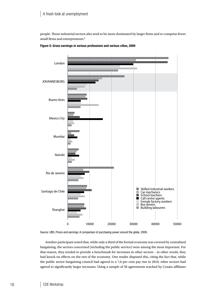people. Those industrial sectors also tend to be more dominated by larger firms and to comprise fewer small firms and entrepreneurs.<sup>8</sup>





Source: UBS, Prices and earnings: A comparison of purchasing power around the globe, 2009.

Another participant noted that, while only a third of the formal economy was covered by centralised bargaining, the sectors concerned (including the public service) were among the most important. For that reason, they tended to provide a benchmark for increases in other sectors – in other words, they had knock-on effects on the rest of the economy. One reader disputed this, citing the fact that, while the public sector bargaining council had agreed to a 7,6 per cent pay rise in 2010, other sectors had agreed to significantly larger increases. Using a sample of 56 agreements reached by Cosatu affiliates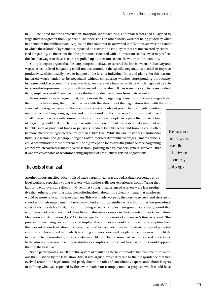in 2010, he noted that the construction, transport, manufacturing, and retail sectors had all agreed to wage increases greater than 9 per cent. Their decisions, in other words, were not being guided by what happened in the public service. A question that could not be answered in full, however, was the extent to which these kinds of agreements impacted on sectors and employers that are not covered by centralised bargaining. To the extent that the premium associated with unionisation seems low, it may reflect the fact that wages in these sectors are pulled up by decisions taken elsewhere in the economy.

One participant argued that the bargaining council system 'severed the link between productivity and wages' as centralised bargaining could not accommodate the specific negotiations needed to improve productivity, which usually have to happen at the level of individual firms and plants. For this reason, increased wages tended to be negotiated without considering whether corresponding productivity increases could be secured. The result was that new costs were imposed on firms which might not be able to secure the improvements in productivity needed to offset them. If they were unable to increase productivity, employers would have to eliminate the least productive workers from their payrolls.

In response, a reader argued that, to the extent that bargaining councils did increase wages faster than productivity gains, the problem lay less with the structure of the negotiations than with the substance of the wage agreements. Some employers had already put productivity and job retention on the collective bargaining agenda, and unions found it difficult to reject proposals that linked smaller wage increases with commitments to employ more people. Accepting that the structure of bargaining could make such holistic negotiations more difficult, he added that agreement on benefits such as provident funds or pensions, medical benefits, leave and training could often be more effectively negotiated centrally than at firm level. While the circumstances of individual firms, subsectors and geographic regions often merited differentiated wages, 'smart councils' could accommodate these differences. The big exception to this was the public service bargaining council which covered so many diverse sectors – policing, health, teachers, general workers – that it was far less capable of accommodating any kind of productivity-related negotiations.

## The bargaining council system severs the link between productivity and wages

### The costs of dismissal

Another important effect of centralised wage bargaining, it was argued, is that it prevented entrylevel workers, especially young workers with neither skills nor experience, from offering their labour to employers at a discount. Given that young, inexperienced workers were less productive than others, preventing them from offering their labour more cheaply meant that employers would be more reluctant to take them on. This was made worse by the non-wage costs and risks associated with their employment. Participants cited empirical studies which found that the procedural costs of dismissals had a significant inhibiting effect on employment growth. One study found that employees had taken two out of three firms in the survey sample to the Commission for Conciliation, Mediation and Arbitration (CCMA). On average, firms lost a week of a manager's time as a result. The prospect of incurring costs of this kind implied that employers would require either exemption from the relevant labour legislation or a 'wage discount' to persuade them to hire riskier groups of potential employees. This applied particularly to young and inexperienced people: since they were more likely to turn out to be unsuitable, they were also more likely to be the source of costly dismissal procedures. In the absence of a wage discount or statutory exemptions, it was hard to see why firms would appoint them in the first place.

Some participants also felt that the system of regulating the labour market had become more onerous than justified by the legislation. This, it was argued, was partly due to the jurisprudence that had evolved around the legislation, and partly due to the roles of consultants, experts and labour lawyers in defining what was expected by the law. A reader, for example, noted a proposal which would have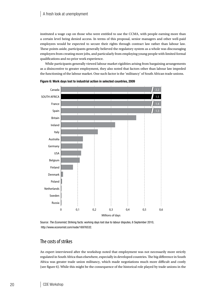instituted a wage cap on those who were entitled to use the CCMA, with people earning more than a certain level being denied access. In terms of this proposal, senior managers and other well-paid employees would be expected to secure their rights through contract law rather than labour law. These points aside, participants generally believed the regulatory system as a whole was discouraging employers from creating more jobs, and particularly from employing young people with limited formal qualifications and no prior work experience.

While participants generally viewed labour market rigidities arising from bargaining arrangements as a disincentive to greater employment, they also noted that factors other than labour law impeded the functioning of the labour market. One such factor is the 'militancy' of South African trade unions.





Source: *The Economist*, Striking facts: working days lost due to labour disputes, 6 September 2010, http://www.economist.com/node/16976532.

### The costs of strikes

An expert interviewed after the workshop noted that employment was not necessarily more strictly regulated in South Africa than elsewhere, especially in developed countries. The big difference in South Africa was greater trade union militancy, which made negotiations much more difficult and costly (see figure 6). While this might be the consequence of the historical role played by trade unions in the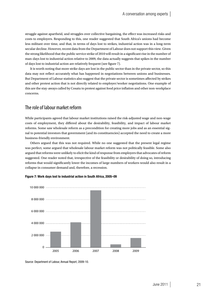struggle against apartheid, and struggles over collective bargaining, the effect was increased risks and costs to employers. Responding to this, one reader suggested that South Africa's unions had become less militant over time, and that, in terms of days lost to strikes, industrial action was in a long-term secular decline. However, recent data from the Department of Labour does not support this view. Given the strong likelihood that the public service strike of 2010 will result in a significant rise in the number of man-days lost to industrial action relative to 2009, the data actually suggests that spikes in the number of days lost to industrial action are relatively frequent (see figure 7).

It is worth noting that more strike days are lost in the public sector than in the private sector, so this data may not reflect accurately what has happened in negotiations between unions and businesses. But Department of Labour statistics also suggest that the private sector is sometimes affected by strikes and other protest action that is not directly related to employer/worker negotiations. One example of this are the stay-aways called by Cosatu to protest against food price inflation and other non-workplace concerns.

### The role of labour market reform

While participants agreed that labour market institutions raised the risk-adjusted wage and non-wage costs of employment, they differed about the desirability, feasibility, and impact of labour market reforms. Some saw wholesale reform as a precondition for creating more jobs and as an essential signal to potential investors that government (and its constituencies) accepted the need to create a more business-friendly environment.

Others argued that this was not required. While no one suggested that the present legal regime was perfect, some argued that wholesale labour market reform was not politically feasible. Some also argued that reforms were unlikely to elicit the kind of response from employers that advocates of reform suggested. One reader noted that, irrespective of the feasibility or desirability of doing so, introducing reforms that would significantly lower the incomes of large numbers of workers would also result in a collapse in consumer demand and, therefore, a recession.





Source: Department of Labour, Annual Report, 2009-10.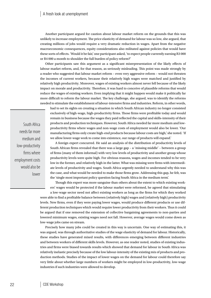Another participant argued for caution about labour market reform on the grounds that this was unlikely to increase employment. The price elasticity of demand for labour was so low, she argued, that creating millions of jobs would require a very dramatic reduction in wages. Apart from the negative macroeconomic consequences, equity considerations also militated against policies that would have these sorts of effects. 'Would it be fair,' one participant asked, 'to expect people currently earning R3 000 or R4 000 a month to shoulder the full burden of policy reform?'

Other participants saw this argument as a significant misrepresentation of the likely effects of labour market reform, and, for that reason, as seriously misleading. This point was made strongly by a reader who suggested that labour market reform – even very aggressive reform – would not threaten the incomes of current workers, because their relatively high wages were matched and justified by relatively high productivity. Moreover, wages of existing workers almost never fell because of the likely impact on morale and productivity. Therefore, it was hard to conceive of plausible reforms that would reduce the wages of existing workers. Even implying that it might happen would make it politically far more difficult to reform the labour market. The key challenge, she argued, was to identify the reforms needed to stimulate the establishment of labour-intensive firms and industries. Reform, in other words,

had to set its sights on creating a situation in which South African industry no longer consisted exclusively of high-wage, high-productivity firms. Those firms were profitable today and would remain in business because the wages they paid reflected the capital and skills-intensity of their products and production techniques. However, South Africa needed far more medium and lowproductivity firms where wages and non-wage costs of employment would also be lower. 'Our manufacturing firms only create high-end products because labour costs are high,' she noted. 'If we allow lower-wage work to come into existence, our range of products will expand.'

A foreign expert concurred. He said an analysis of the distribution of productivity levels of South African firms revealed that there was a large gap – a 'missing middle' – between a group of firms (many of them informal) with very low levels of productivity and another group whose productivity levels were quite high. For obvious reasons, wages and incomes tended to be very low in the former, and relatively high in the latter. What was missing were firms with intermediate levels of productivity and wages. South Africa urgently needed to understand why this was the case, and what would be needed to make those firms grow. Addressing this gap, he felt, was the 'single most important policy question facing South Africa in the medium term'.

Though this expert was more sanguine than others about the extent to which existing workers' wages would be protected if the labour market were reformed, he agreed that stimulating

a low-wage sector need not affect existing workers as long as the firms for which they worked were able to find a profitable balance between (relatively high) wages and (relatively high) productivity levels. New firms, even if they were paying lower wages, would produce different products or use different production techniques which would require lower productivity from their workers. Thus it could be argued that if one removed the extension of collective bargaining agreements to non-parties and lowered minimum wages, existing wages need not fall. However, average wages would come down as low-wage jobs came on stream.

Precisely how many jobs could be created in this way is uncertain. One way of estimating this, it was argued, was through authoritative studies of the wage elasticity of demand for labour. Historically, these studies have generated mixed results, with differences emerging between different industries and between workers of different skills levels. However, as one reader noted, studies of existing industries and firms were biased towards results which showed that demand for labour in South Africa was relatively inelastic precisely because of the low labour-intensity of the existing mix of products and production methods. Studies of the impact of lower wages on the demand for labour could therefore say very little about whether large numbers of workers might be employed in low-productivity, low-wage industries if such industries were allowed to develop.

South Africa needs far more medium and low-productivity firms where employment costs would also be lower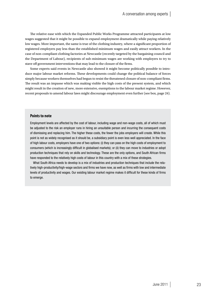The relative ease with which the Expanded Public Works Programme attracted participants at low wages suggested that it might be possible to expand employment dramatically while paying relatively low wages. More important, the same is true of the clothing industry, where a significant proportion of registered employers pay less than the established minimum wages and easily attract workers. In the case of non-compliant clothing factories at Newcastle (recently targeted by the bargaining council and the Department of Labour), recipients of sub-minimum wages are working with employers to try to stave off government interventions that may lead to the closure of the firms.

Some experts said events in Newcastle also showed it might become politically possible to introduce major labour market reforms. These developments could change the political balance of forces simply because workers themselves had begun to resist the threatened closure of non-compliant firms. The result was an impasse which was making visible the high costs of the present system, and which might result in the creation of new, more extensive, exemptions to the labour market regime. However, recent proposals to amend labour laws might discourage employment even further (see box, page 24).

### **Points to note**

Employment levels are affected by the cost of labour, including wage and non-wage costs, all of which must be adjusted to the risk an employer runs in hiring an unsuitable person and incurring the consequent costs of dismissing and replacing him. The higher these costs, the fewer the jobs employers will create. While this point is not as widely recognised as it should be, a subsidiary point is even less well appreciated. In the face of high labour costs, employers have one of two options: (i) they can pass on the high costs of employment to consumers (which is increasingly difficult in globalised markets); or (ii) they can move to industries or adopt production techniques that rely on skills and technology. These are the only options, and South African firms have responded to the relatively high costs of labour in this country with a mix of these strategies.

What South Africa needs to develop is a mix of industries and production techniques that include the relatively high-productivity/high-wage sectors and firms we have now, as well as firms with low and intermediate levels of productivity and wages. Our existing labour market regime makes it difficult for these kinds of firms to emerge.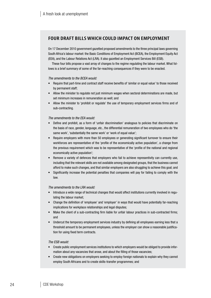### **FOUR DRAFT BILLS WHICH COULD IMPACT ON EMPLOYMENT**

On 17 December 2010 government gazetted proposed amendments to the three principal laws governing South Africa's labour market: the Basic Conditions of Employment Act (BCEA), the Employment Equity Act (EEA), and the Labour Relations Act (LRA). It also gazetted an Employment Services Bill (ESB).

These four bills propose a vast array of changes to the regime regulating the labour market. What follows is a brief summary of some of the far-reaching consequences if they were to be enacted.

#### *The amendments to the BCEA would:*

- Require that part-time and contract staff receive benefits of 'similar or equal value' to those received by permanent staff;
- Allow the minister to regulate not just minimum wages when sectoral determinations are made, but set minimum increases in remuneration as well; and
- Allow the minister to 'prohibit or regulate' the use of temporary employment services firms and of sub-contracting.

#### *The amendments to the EEA would:*

- Define and prohibit, as a form of 'unfair discrimination' analogous to policies that discriminate on the basis of race, gender, language, etc., the differential remuneration of two employees who do 'the same work', 'substantially the same work' or 'work of equal value';
- Require employers with more than 50 employees or generating significant turnover to ensure their workforces are representative of the 'profile of the economically active population', a change from the previous requirement which was to be representative of the 'profile of the national and regional economically active population';
- Remove a variety of defences that employers who fail to achieve representivity can currently use, including that the relevant skills are not available among designated groups, that the business cannot afford to make such changes, and that similar employers are also struggling to achieve this goal; and
- Significantly increase the potential penalties that companies will pay for failing to comply with the law.

#### *The amendments to the LRA would:*

- Introduce a wide range of technical changes that would affect institutions currently involved in regulating the labour market;
- Change the definition of 'employee' and 'employer' in ways that would have potentially far-reaching implications for workplace relationships and legal disputes;
- Make the client of a sub-contracting firm liable for unfair labour practices in sub-contracted firms; and
- Undercut the temporary employment services industry by defining all employees earning less that a threshold amount to be permanent employees, unless the employer can show a reasonable justification for using fixed term contracts.

### *The ESB would:*

- Create public employment services institutions to which employers would be obliged to provide information about any vacancies that arose, and about the filling of those vacancies;
- Create new obligations on employers seeking to employ foreign nationals to explain why they cannot employ South Africans and to create skills-transfer programmes; and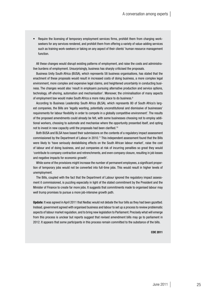• Require the licensing of temporary employment services firms, prohibit them from charging workseekers for any services rendered, and prohibit them from offering a variety of value-adding services such as training work-seekers or taking on any aspect of their clients' human resource management function.

All these changes would disrupt existing patterns of employment, and raise the costs and administrative burdens of employment. Unsurprisingly, business has sharply criticised the proposals.

Business Unity South Africa (BUSA), which represents 58 business organisations, has stated that the enactment of these proposals would result in increased costs of doing business, a more complex legal environment, more complex and expensive legal claims, and heightened uncertainty in conducting business. The changes would also 'result in employers pursuing alternative production and service options, technology, off-shoring, automation and mechanisation'. Moreover, the criminalisation of many aspects of employment law would make South Africa a more risky place to do business.<sup>9</sup>

According to Business Leadership South Africa (BLSA), which represents 80 of South Africa's largest companies, the Bills are 'legally wanting, potentially unconstitutional and dismissive of businesses' requirements for labour flexibility in order to compete in a globally competitive environment'. The results of the proposed amendments could already be felt, with some businesses choosing not to employ additional workers, choosing to automate and mechanise where the opportunity presented itself, and opting not to invest in new capacity until the proposals had been clarified.10

Both BUSA and BLSA have based their submissions on the contents of a regulatory impact assessment commissioned by the Department of Labour in 2010.11 This independent assessment found that the Bills were likely to 'have seriously destabilising effects on the South African labour market', raise the cost of labour and of doing business, and put companies at risk of incurring penalties so great they would 'contribute to company contraction and retrenchments, and even company closure, resulting in job losses and negative impacts for economic growth'.

While some of the provisions might increase the number of permanent employees, a significant proportion of temporary jobs would not be converted into full-time jobs. This would result in higher levels of unemployment.

The Bills, coupled with the fact that the Department of Labour ignored the regulatory impact assessment it commissioned, is puzzling especially in light of the stated commitment by the President and the Minister of Finance to create far more jobs. It suggests that commitments made to organised labour may well trump promises to pursue a more job-intensive growth path.

Update: It was agreed in April 2011 that Nedlac would not debate the four bills as they had been gazetted. Instead, government agreed with organised business and labour to set up a process to review problematic aspects of labour market regulation, and to bring new legislation to Parliament. Precisely what will emerge from this process is unclear but reports suggest that revised amendment bills may go to parliament in 2012. It appears that some participants in this process remain committed to the substance of the bills.

CDE 2011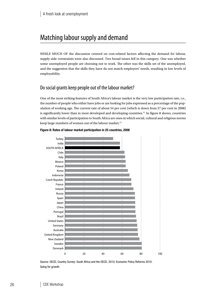## Matching labour supply and demand

WHILE MUCH OF the discussion centred on cost-related factors affecting the demand for labour, supply-side constraints were also discussed. Two broad issues fell in this category. One was whether some unemployed people are choosing not to work. The other was the skills set of the unemployed, and the suggestion that the skills they have do not match employers' needs, resulting in low levels of employability.

### Do social grants keep people out of the labour market?

One of the most striking features of South Africa's labour market is the very low participation rate, i.e., the number of people who either have jobs or are looking for jobs expressed as a percentage of the population of working age. The current rate of about 54 per cent (which is down from 57 per cent in 2008) is significantly lower than in most developed and developing countries.<sup>12</sup> As figure 8 shows, countries with similar levels of participation to South Africa are ones in which social, cultural and religious norms keep large numbers of women out of the labour market.<sup>13</sup>



### Figure 8: Rates of labour market participation in 25 countries, 2008

Source: OECD, Country Survey: South Africa and the OECD, 2010; Economic Policy Reforms 2010: Going for growth.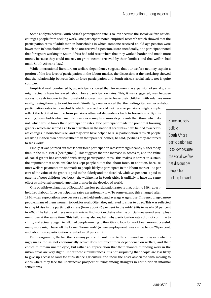Some analysts believe South Africa's participation rate is so low because the social welfare net discourages people from seeking work. One participant noted empirical research which showed that the participation rates of adult men in households in which someone received an old age pension were lower than in households in which no one received a pension. More anecdotally, one participant noted that foreigners working in South Africa had told researchers that they worked harder and made more money because they could not rely on grant income received by their families, and that welfare had made South Africans 'lazy'.

While international literature on welfare dependency suggests that our welfare net may explain a portion of the low level of participation in the labour market, the discussion at the workshop showed that the relationship between labour force participation and South Africa's social safety net is quite complex.

Empirical work conducted by a participant showed that, for women, the expansion of social grants might actually have increased labour force participation rates. This, it was suggested, was because access to cash income in the household allowed women to leave their children with relatives more easily, freeing them up to look for work. Similarly, a reader noted that the finding cited earlier on labour

participation rates in households which received or did not receive pensions might simply reflect the fact that income from pensions attracted dependents back to households. By this reading, households which include pensioners may have more dependants than those which do not, which would lower their participation rates. One participant made the point that housing grants – which are scored as a form of welfare in the national accounts – have helped to accelerate changes in household size, and may even have helped to raise participation rates. 'If people are living in their own houses rather than their parents' homes,' he said, 'perhaps they are forced to seek work.'

Finally, it was pointed out that labour force participation rates were significantly higher today than in the mid-1990s (see figure 9). This suggests that the increase in access to, and the value of, social grants has coincided with rising participation rates. This makes it harder to sustain the argument that social welfare has kept people out of the labour force. In addition, because most welfare payments are not made to people likely to participate in the labour market – 58 per cent of the value of the grants is paid to the elderly and the disabled, while 35 per cent is paid to parents of poor children (see box) – the welfare net in South Africa is unlikely to have the same effect as universal unemployment insurance in the developed world.

One possible explanation of South Africa's low participation rates is that, prior to 1994, apartheid kept labour force participation rates exceptionally low. To some extent, this changed after 1994, when expectations rose because apartheid ended and average wages rose. This encouraged more people, many of them women, to look for work. Often they migrated to cities to do so. This was reflected in a rapid rise in the participation rate (from about 45 per cent in the mid-1990s to nearly 60 per cent in 2000). The failure of these new entrants to find work explains why the official measure of unemployment rose at the same time. This failure may also explain why participation rates did not continue to climb, and actually began to fall: had people moving to the cities to look for work been more successful, many more might have left the former 'homelands' (where employment rates can be below 20 per cent, and labour force participation rates below 30 per cent).

By this argument, the fact that so many people did not move to the cities and are today overwhelmingly measured as 'not economically active' does not reflect their dependence on welfare, and their choice to remain unemployed, but rather an appreciation that their chances of finding work in the urban areas are very slight. Under these circumstances, it is not surprising that people are less likely to give up access to land for subsistence agriculture and incur the costs associated with moving to cities where they face the unattractive prospect of living among strangers in crime-ridden informal settlements.

Some analysts believe South Africa's participation rate is so low because the social welfare net discourages people from looking for work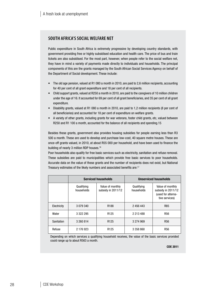### **South Africa's social welfare net**

Public expenditure in South Africa is extremely progressive by developing country standards, with government providing free or highly subsidised education and health care. The price of bus and train tickets are also subsidised. For the most part, however, when people refer to the social welfare net, they have in mind a variety of payments made directly to individuals and households. The principal components of this are the grants managed by the South African Social Services Agency on behalf of the Department of Social development. These include:

- The old age pension, valued at R1 080 a month in 2010, are paid to 2,6 million recipients, accounting for 40 per cent of all grant expenditure and 18 per cent of all recipients.
- Child support grants, valued at R250 a month in 2010, are paid to the caregivers of 10 million children under the age of 16. It accounted for 69 per cent of all grant beneficiaries, and 35 per cent of all grant expenditure.
- Disability grants, valued at R1 080 a month in 2010, are paid to 1,2 million recipients (8 per cent of all beneficiaries) and accounted for 18 per cent of expenditure on welfare grants.
- A variety of other grants, including grants for war veterans, foster child grants, etc, valued between R250 and R1 100 a month, accounted for the balance of all recipients and spending.15

Besides these grants, government also provides housing subsidies for people earning less than R3 500 a month. These are used to develop and purchase low-cost, 40 square metre houses. These are once-off grants valued, in 2010, at about R55 000 per household, and have been used to finance the building of nearly 3 million RDP houses.16

Poor households also qualify for free basic services such as electricity, sanitation and refuse removal. These subsidies are paid to municipalities which provide free basic services to poor households. Accurate data on the value of these grants and the number of recipients does not exist, but National Treasury estimates of the likely numbers and associated benefits are:17

|             | <b>Serviced households</b> |                                        | <b>Unserviced households</b> |                                                                                |
|-------------|----------------------------|----------------------------------------|------------------------------|--------------------------------------------------------------------------------|
|             | Qualifying<br>households   | Value of monthly<br>subsidy in 2011/12 | Qualifying<br>households     | Value of monthly<br>subsidy in 2011/12<br>(used for alterna-<br>tive services) |
| Electricity | 3 079 340                  | R <sub>188</sub>                       | 2 456 443                    | R85                                                                            |
| Water       | 3 3 2 2 2 9 5              | R <sub>125</sub>                       | 2 213 488                    | R56                                                                            |
| Sanitation  | 3 260 814                  | R <sub>125</sub>                       | 3 274 969                    | <b>R56</b>                                                                     |
| Refuse      | 2 176 923                  | R <sub>125</sub>                       | 3 358 860                    | R56                                                                            |

Depending on which services a qualifying household receives, the value of the basic services provided could range up to about R563 a month.

CDE 2011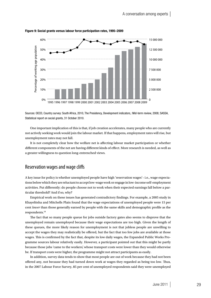

Figure 9: Social grants versus labour force participation rates, 1995–2009

Sources: OECD, Country survey: South Africa, 2010, The Presidency, Development indicators,: Mid-term review, 2008; SASSA, Statistical report on social grants, 31 October 2010.

One important implication of this is that, if job creation accelerates, many people who are currently not actively seeking work would join the labour market. If that happens, employment rates will rise, but unemployment rates may not fall.

It is not completely clear how the welfare net is affecting labour market participation or whether different components of the net are having different kinds of effect. More research is needed, as well as a greater willingness to question long-entrenched views.

### Reservation wages and wage cliffs

A key issue for policy is whether unemployed people have high 'reservation wages'– i.e., wage expectations below which they are reluctant to accept low-wage work or engage in low-income self-employment activities. Put differently: do people choose not to work when their expected earnings fall below a particular threshold? And if so, why?

Empirical work on these issues has generated contradictory findings. For example, a 2005 study in Khayelitsha and Mitchells Plain found that the wage expectations of unemployed people were 15 per cent *lower* than those generally earned by people with the same skills and demographic profile as the respondents.18

The fact that so many people queue for jobs outside factory gates also seems to disprove that the unemployed remain unemployed because their wage expectations are too high. Given the length of these queues, the more likely reason for unemployment is not that jobless people are unwilling to accept the wages they may realistically be offered, but the fact that too few jobs are available at those wages. This is confirmed by the fact that, despite its low daily wages, the Expanded Public Works Programme sources labour relatively easily. However, a participant pointed out that this might be partly because those jobs 'came to the workers', whose transport costs were lower than they would otherwise be. If transport costs were higher, the programme might not attract participants as easily.

In addition, survey data tends to show that most people are out of work because they had not been offered any, not because they had turned down work at wages they regarded as being too low. Thus, in the 2007 Labour Force Survey, 85 per cent of unemployed respondents said they were unemployed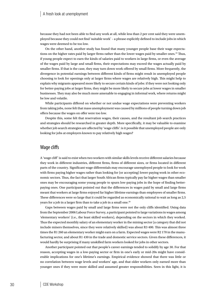because they had not been able to find any work at all, while less than 2 per cent said they were unemployed because they could not find 'suitable work' – a phrase explicitly defined to include jobs in which wages were deemed to be too low.

On the other hand, another study has found that many younger people base their wage expectations on the higher rates paid by larger firms rather than the lower wages paid by smaller ones.<sup>19</sup> Thus, if young people expect to earn the kinds of salaries paid to workers in large firms, or even the average of the wages paid by large and small firms, their expectations may exceed the wages actually paid by smaller firms. If that is the case, they may turn down work offered by small firms. More frequently, the divergence in potential earnings between different kinds of firms might result in unemployed people choosing to look for openings only at larger firms where wages are relatively high. This might help to explain why migrants appeared more likely to secure certain kinds of jobs: if they were not looking only for better-paying jobs at larger firms, they might be more likely to secure jobs at lower wages in smaller businesses. They may also be much more amenable to engaging in informal work, where returns might be low and volatile.

While participants differed on whether or not undue wage expectations were preventing workers from taking jobs, none felt that mass unemployment was caused by millions of people turning down job offers because the wages on offer were too low.

Despite this, some felt that reservation wages, their causes, and the resultant job search practices and strategies should be researched in greater depth. More specifically, it may be valuable to examine whether job search strategies are affected by 'wage cliffs': is it possible that unemployed people are only looking for jobs at employers known to pay relatively high wages?

### Wage cliffs

A 'wage cliff' is said to exist when two workers with similar skills levels receive different salaries because they work in different industries, different firms, firms of different sizes, or firms located in different parts of the country. Significant wage differentials may encourage unemployed people to look for work with firms paying higher wages rather than looking for (or accepting) lower-paying work in other economic sectors. Thus, the fact that larger South African firms typically pay far higher wages than smaller ones may be encouraging some young people to spurn low-paying jobs in the hope of finding betterpaying ones. One participant pointed out that the differences in wages paid by small and large firms meant that workers at large firms enjoyed far higher lifetime earnings than employees of smaller firms. These differences were so large that it could be regarded as economically rational to wait as long as 2,5 years for a job in a larger firm than to take a job in a small one.<sup>20</sup>

Gaps between wages paid by small and large firms were not the only cliffs identified. Using data from the September 2006 Labour Force Survey, a participant pointed to large variations in wages among 'elementary workers' (i.e., the least skilled workers), depending on the sectors in which they worked. Thus the expected monthly salary of an elementary worker in the mining sector (a category that did not include miners themselves, since they were relatively skilled) was about R3 400. This was almost three times the R1 260 an elementary worker might earn on a farm. Expected wages were R2 170 in the manufacturing sector, and about R1 430 in the trade and domestic service sectors. Given these differences, it would hardly be surprising if many unskilled farm workers looked for jobs in other sectors.

Another participant pointed out that people's career earnings tended to solidify by age 30. For that reason, accepting wages in a low-paying sector or firm in one's early or mid-20s might have considerable implications for one's lifetime's earnings. Empirical evidence showed that there was little or no correlation between wage levels and workers' age, and that older workers only earned more than younger ones if they were more skilled and assumed greater responsibilities. Seen in this light, it is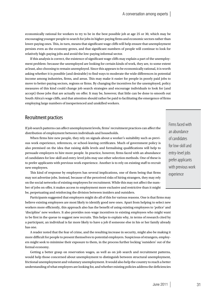economically rational for workers to try to be in the best possible job at age 25 or 30, which may be encouraging younger people to search for jobs in higher-paying firms and economic sectors rather than lower-paying ones. This, in turn, means that significant wage cliffs will help ensure that unemployment persists even as the economy grows, and that significant numbers of people will continue to look for relatively high-paying jobs and avoid the low-paying informal sector.

If this analysis is correct, the existence of significant wage cliffs may explain a part of the unemployment problem: because the unemployed are looking for certain kinds of work, they are, to some extent at least, also choosing to remain unemployed. Since this appears to be economically rational, it is worth asking whether it is possible (and desirable) to find ways to moderate the wide differences in potential income among industries, firms, and areas. This may make it easier for people in poorly paid jobs to move to better-paying sectors, regions or firms. By changing the incentives for the unemployed, policy measures of this kind could change job search strategies and encourage individuals to look for (and accept) those jobs that are actually on offer. It may be, however, that little can be done to smooth out South Africa's wage cliffs, and that attention should rather be paid to facilitating the emergence of firms employing large numbers of inexperienced and unskilled workers.

### Recruitment practices

If job search patterns can affect unemployment levels, firms' recruitment practices can affect the distribution of employment between individuals and households.

When firms hire new people, they rely on signals about a worker's suitability such as previous work experience, references, or school-leaving certificates. Much of government policy is also premised on the idea that raising skills levels and formalising qualifications will help to persuade employers to hire more people. In practice, however, firms faced with an abundance of candidates for low-skill and entry-level jobs may use other selection methods. One of these is to prefer applicants with previous work experience. Another is to rely on existing staff to recruit new employees.

This kind of response by employers has several implications, one of them being that firms may not advertise jobs. Instead, because of the perceived risks of hiring strangers, they may rely on the social networks of existing employees for recruitment. While this may not affect the number of jobs on offer, it makes access to employment more exclusive and restrictive than it might be, perpetuating and reinforcing the division between insiders and outsiders.

Participants suggested that employers might do all of this for various reasons. One is that firms may believe existing employees are most likely to identify good new ones. Apart from helping to select new workers more efficiently, this approach also has the benefit of using existing employees to 'police' and 'discipline' new workers. It also provides non-wage incentives to existing employees who might want to be first in the queue to suggest new recruits. This helps to explain why, in terms of research cited by a participant, an individual is far more likely to have a job if someone else in his or her family already has one.

A reader noted that the fear of crime, and the resulting increase in security, might also be making it more difficult for people to present themselves to potential employers. Suspicious of strangers, employers might seek to minimise their exposure to them, in the process further locking 'outsiders' out of the formal economy.

Getting a better grasp on reservation wages, as well as on job search and recruitment patterns, would help those concerned about unemployment to distinguish between structural unemployment, frictional unemployment and voluntary unemployment. It would also help the country to reach a better understanding of what employers are looking for, and whether existing policies address the deficiencies

Firms faced with an abundance of candidates for low-skill and entry-level jobs prefer applicants with previous work experience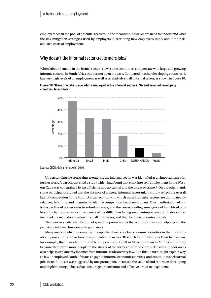employers see in the pool of potential recruits. In the meantime, however, we need to understand what the risk mitigation strategies used by employers in recruiting new employees imply about the riskadjusted costs of employment.

### Why doesn't the informal sector create more jobs?

When labour demand in the formal sector is low, some economies compensate with large and growing informal sectors. In South Africa this has not been the case. Compared to other developing countries, it has very high levels of unemployment as well as a relatively small informal sector, as shown in figure 10.

Figure 10: Share of working age adults employed in the informal sector in SA and selected developing countries, latest data



Source: OECD, Going for growth, 2010.

Understanding the constraints to entering the informal sector was identified as an important area for further work. A participant cited a study which had found that entry into self-employment in the Western Cape was constrained by insufficient start-up capital and the threat of crime.21 On the other hand, some participants argued that the absence of a strong informal sector might simply reflect the overall lack of competition in the South African economy, in which most industrial sectors are dominated by relatively few firms, and incumbents felt little competition from new–comers. One manifestation of this is the decline of corner cafés in suburban areas, and the corresponding emergence of franchised outlets and chain stores as a consequence of the difficulties facing small entrepreneurs. Probable causes included the regulatory burden on small businesses, and their lack of economies of scale.

The uneven spatial distribution of spending power across the economy may also help explain the paucity of informal businesses in poor areas.

Many areas in which unemployed people live have very low economic densities in that individuals are poor and the areas have low population densities. Research for the Business Trust had shown, for example, that it was far more viable to open a street stall in Alexandra than in Motherwell simply because there were more people in the streets of the former.22 Low economic densities in poor areas also helps to explain why incomes from informal trade are very low. And this, in turn, might explain why so few unemployed South Africans engage in informal economic activities, and continue to seek formal jobs instead. This, it was suggested by one participant, increased the value of and return on developing and implementing policies that encourage urbanisation and effective urban management.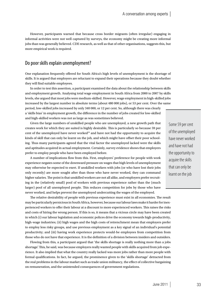However, participants warned that because cross border migrants (often irregular) engaging in informal activities were not well captured by surveys, the economy might be creating more informal jobs than was generally believed. CDE research, as well as that of other organisations, suggests this, but more empirical work is required.

### Do poor skills explain unemployment?

One explanation frequently offered for South Africa's high levels of unemployment is the shortage of skills. It is argued that employers are reluctant to expand their operations because they doubt whether they will find suitable employees.

In order to test this assertion, a participant examined the data about the relationship between skills and employment growth. Analysing total wage employment in South Africa from 2000 to 2007 by skills levels, she argued that most jobs were medium-skilled. However, wage employment in high-skilled jobs increased by the largest number in absolute terms (about 480 000 jobs), or 53 per cent. Over the same period, low-skilled jobs increased by only 340 000, or 12 per cent. So, although there was clearly a 'skills bias' in employment growth, the difference in the number of jobs created for low-skilled

Given the large numbers of unskilled people who are unemployed, a new growth path that creates work for which they are suited is highly desirable. This is particularly so because 59 per cent of the unemployed have never worked<sup>23</sup> and have not had the opportunity to acquire the kinds of skill that can only be learnt on the job, and which might have offset their poor schooling. Thus many participants agreed that the vital factor the unemployed lacked were the skills and aptitudes acquired in actual employment. Certainly, survey evidence shows that employers prefer to employ people who have been employed before.

and high-skilled workers was not as large as was sometimes believed.

A number of implications flow from this. First, employers' preference for people with work experience negates some of the downward pressure on wages that high levels of unemployment may otherwise be expected to exert. If unskilled workers with jobs (or who have lost their jobs only recently) are more sought after than those who have never worked, they can command higher salaries. The point is that unskilled workers are not all alike, and employers prefer recruiting in the (relatively small) pool of workers with previous experience rather than the (much larger) pool of all unemployed people. This reduces competition for jobs by those who have never worked, and helps prevent the unemployed undercutting the wages of the employed.

The relative desirability of people with previous experience must exist in all economies. The result may be particularly pernicious in South Africa, however, because our labour laws make it harder for inexperienced workers to offer their labour at a discount to more experienced workers. This raises the risks and costs of hiring the wrong person. If this is so, it means that a vicious circle may have been created in which (i) our labour legislation and economic polices drive the economy towards high-productivity, high-wage industries; (ii) high wages and the high costs of retrenchment mean that employers prefer to employ less risky groups, and use previous employment as a key signal of an individual's potential productivity; and (iii) having work experience protects would-be employees from competition from those who do not have that experience. It is the definition of a division between insiders and outsiders.

Flowing from this, a participant argued that 'the skills shortage is really nothing more than a jobs shortage'. This, he said, was because employers really wanted people with skills acquired from job experience. It also implied that what the country really lacked was more jobs rather than more people with formal qualifications. In fact, he argued, the prominence given to the 'skills shortage' detracted from the real problems in the labour market such as trade union militancy, the effect of collective bargaining on remuneration, and the unintended consequences of government regulations.

Some 59 per cent of the unemployed have never worked and have not had the opportunity to acquire the skills that can only be learnt on the job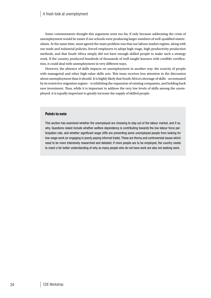Some commentators thought this argument went too far, if only because addressing the crisis of unemployment would be easier if our schools were producing larger numbers of well-qualified matriculants. At the same time, most agreed the main problem was that our labour market regime, along with our trade and industrial policies, forced employers to adopt high-wage, high-productivity production methods, and that South Africa simply did not have enough skilled people to make such a strategy work. If the country produced hundreds of thousands of well-taught learners with credible certification, it could deal with unemployment in very different ways.

However, the absence of skills impacts on unemployment in another way: the scarcity of people with managerial and other high-value skills sets. This issue receives less attention in the discussion about unemployment than it should. It is highly likely that South Africa's shortage of skills - accentuated by its restrictive migration regime – is inhibiting the expansion of existing companies, and holding back new investment. Thus, while it is important to address the very low levels of skills among the unemployed, it is equally important to greatly increase the supply of skilled people.

### **Points to note**

This section has examined whether the unemployed are choosing to stay out of the labour market, and if so, why. Questions raised include whether welfare dependency is contributing towards the low labour force participation rate, and whether significant wage cliffs are preventing some unemployed people from looking for low-wage work (or engaging in poorly paying informal trade). These are thorny and controversial issues which need to be more intensively researched and debated. If more people are to be employed, the country needs to reach a far better understanding of why so many people who do not have work are also not seeking work.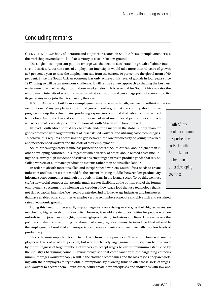## Concluding remarks

Given the large body of literature and empirical research on South Africa's unemployment crisis, the workshop covered some familiar territory. It also broke new ground.

The single most important point to emerge was the need to accelerate the growth of labour-intensive industries. At current rates of employment intensity, it would take more than 40 years of growth at 7 per cent a year to raise the employment rate from the current 40 per cent to the global norm of 60 per cent. Since the South African economy has only achieved this level of growth in four years since 1947, doing so will be an enormous challenge. It will require a new approach to shaping the business environment, as well as significant labour market reform. It is essential for South Africa to raise the employment intensity of economic growth so that each additional percentage point of economic activity generates more jobs than is currently the case.

If South Africa is to build a more employment-intensive growth path, we need to rethink some key assumptions. Many people in and around government argue that the country should move

progressively up the value chain, producing export goods with skilled labour and advanced technology. Given the low skills and inexperience of most unemployed people, this approach will never create enough jobs for the millions of South Africans who have few skills.

Instead, South Africa should seek to create and/or fill niches in the global supply chain for goods produced with larger numbers of lesser skilled workers, and utilising basic technologies. To achieve this requires addressing the gap between the low productivity of young, unskilled and inexperienced workers and the costs of their employment.

South Africa's regulatory regime has pushed the costs of South African labour higher than in other developing countries. This, together with a variety of other labour-related costs (including the relatively high incidence of strikes) has encouraged firms to produce goods that rely on skilled workers or automated production systems rather than on unskilled labour.

In order to absorb more unskilled and inexperienced workers, South Africa needs to create industries and businesses that would fill the current 'missing middle' between low productivity informal sector companies and high productivity firms in the formal sector. To do this, we must craft a new social compact that permits much greater flexibility at the bottom end of the formal employment spectrum, thus allowing the creation of low-wage jobs that use technology that is not skill or capital intensive. We need to create the kind of lower-wage industries and businesses that have enabled other countries to employ very large numbers of people and drive high and sustained rates of economic growth.

Doing this need not necessarily impact negatively on existing workers, as their higher wages are matched by higher levels of productivity. However, it would create opportunities for people who are unlikely to find jobs in existing (high-wage/high-productivity) industries and firms. However severe the political constraints on reforming the labour market may be, reforms must be introduced that will enable the employment of unskilled and inexperienced people at costs commensurate with their low levels of productivity.

This is the most important lesson to be learnt from developments in Newcastle, a town with unemployment levels of nearly 60 per cent, but whose relatively large garment industry can be explained by the willingness of large numbers of workers to accept wages below the minimum established by the industry's bargaining council. Having recognised that compliance with the bargaining council's minimum wages would probably result in the closure of companies and the loss of jobs, they are working with their employers to try to obtain exemptions. By allowing firms to offer these sorts of wages, and workers to accept them, South Africa could create new enterprises and industries with low and

South Africa's regulatory regime has pushed the costs of South African labour higher than in other developing countries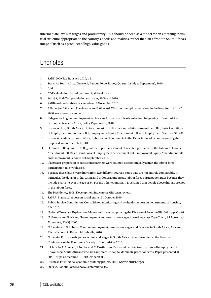intermediate levels of wages and productivity. This should be seen as a model for an emerging industrial structure appropriate to the country's needs and realities, rather than an affront to South Africa's image of itself as a producer of high-value goods.

## **Endnotes**

- 1. SARS, 2009 Tax Statistics, 2010, p 8.
- 2. Statistics South Africa, Quarterly Labour Force Survey: Quarter 3 (July to September), 2010.
- 3. Ibid.
- 4. CDE calculations based on municipal-level data.
- 5. StatsSA, Mid–Year population estimates, 2009 and 2010.
- 6. SARB on-line database, accessed on 16 November 2010.
- 7. A Banerjee, S Galiani, J Levinsohn and I Woolard, Why has unemployment risen in the New South Africa?, 2006, www.treasury.gov.za.
- 8. J Magruder, High unemployment yet few small firms: the role of centralised bargaining in South Africa, Economic Research Africa, Policy Paper no 16, 2010.
- 9. Business Unity South Africa, BUSA submission on the Labour Relations Amendment Bill, Basic Conditions of Employment Amendment Bill, Employment Equity Amendment Bill, and Employment Services Bill, 2011.
- 10. Business Leadership South Africa, Submission of comments to the Department of Labour regarding the proposed amendment bills, 2011.
- 11. H Bhorat, P Benjamin, SBP, Regulatory Impact assessment of selected provisions of the Labour Relations Amendment Bill, Basic Conditions of Employment Amendment Bill, Employment Equity Amendment Bill, and Employment Services Bill, September 2010.
- 12. If a greater proportion of subsistence farmers were counted as economically active, the labour force participation rate would rise.
- 13. Because these figure were drawn from two different sources, some data are not entirely comparable. In particular, the data for India, China and Indonesia understate labour force participation rates because they include everyone over the age of 64. For the other countries, it is assumed that people above this age are not in the labour force.
- 14. The Presidency, 2008, Development indicators: Mid-term review.
- 15. SASRA, Statistical report on social grants, 31 October 2010.
- 16. Public Service Commission, Consolidated monitoring and evaluation report on departments of housing, July 2010.
- 17. National Treasury, Explanatory Memorandum accompanying the Division of Revenue Bill, 2011, pp 90—91.
- 18. N Nattrass and R Walker, Unemployment and reservation wages in working class Cape Town, *SA Journal of Economics*, 73 (3), 2005.
- 19. N Rankin and G Roberts, Youth unemployment, reservation wages and firm size in South Africa, African Micro-Economic Research Umbrella, 2010.
- 20. N Rankin, Firm growth, job switching and wages in South Africa, paper presented at the Biennial Conference of the Economics Society of South Africa, 2010.
- 21. P Chicello, C Almeleh, L Ncube and M Oosthuizen, Perceived barriers to entry into self-employment in Khayelitsha, South Africa: crime, risk and start-up capital dominate profit concerns, Paper presented at DPRU/Tips Conference, 18–20 October 2006.
- 22. Business Trust, Nodal economic profiling project, 2007, wwww.btrust.org.za.
- 23. StatsSA, Labour Force Survey, September 2007.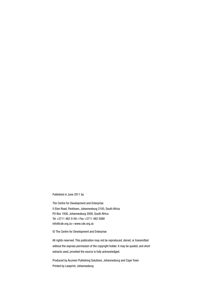Published in June 2011 by

The Centre for Development and Enterprise 5 Eton Road, Parktown, Johannesburg 2193, South Africa PO Box 1936, Johannesburg 2000, South Africa Tel +2711 482 5140 • Fax +2711 482 5089 info@cde.org.za • www.cde.org.za

© The Centre for Development and Enterprise

All rights reserved. This publication may not be reproduced, stored, or transmitted without the express permission of the copyright holder. It may be quoted, and short extracts used, provided the source is fully acknowledged.

Produced by Acumen Publishing Solutions, Johannesburg and Cape Town Printed by Lawprint, Johannesburg